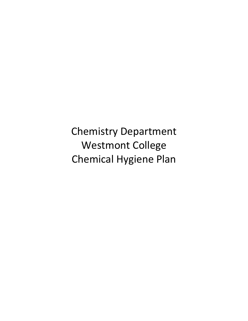Chemistry Department Westmont College Chemical Hygiene Plan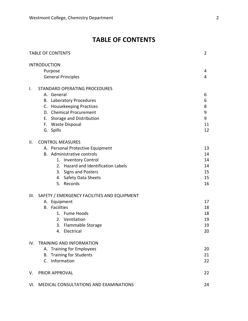# **TABLE OF CONTENTS**

| <b>TABLE OF CONTENTS</b> |                                             | $\overline{2}$ |
|--------------------------|---------------------------------------------|----------------|
|                          | <b>INTRODUCTION</b>                         |                |
|                          | Purpose                                     | 4              |
|                          | <b>General Principles</b>                   | 4              |
| Ι.                       | STANDARD OPERATING PROCEDURES               |                |
|                          | A. General                                  | 6              |
|                          | <b>B.</b> Laboratory Procedures             | 6              |
|                          | C. Housekeeping Practices                   | 8              |
|                          | D. Chemical Procurement                     | 9              |
|                          | E. Storage and Distribution                 | 9              |
|                          | F. Waste Disposal                           | 11             |
|                          | G. Spills                                   | 12             |
| II.                      | <b>CONTROL MEASURES</b>                     |                |
|                          | A. Personal Protective Equipment            | 13             |
|                          | B. Administrative controls                  | 14             |
|                          | 1. Inventory Control                        | 14             |
|                          | 2. Hazard and Identification Labels         | 14             |
|                          | 3. Signs and Posters                        | 15             |
|                          | 4. Safety Data Sheets                       | 15             |
|                          | 5. Records                                  | 16             |
| III.                     | SAFETY / EMERGENCY FACILITIES AND EQUIPMENT |                |
|                          | A. Equipment                                | 17             |
|                          | <b>B.</b> Facilities                        | 18             |
|                          | 1. Fume Hoods                               | 18             |
|                          | 2. Ventilation                              | 19             |
|                          | 3. Flammable Storage                        | 19             |
|                          | Electrical<br>4.                            | 20             |
| IV.                      | <b>TRAINING AND INFORMATION</b>             |                |
|                          | A. Training for Employees                   | 20             |
|                          | <b>Training for Students</b><br>В.          | 21             |
|                          | C. Information                              | 22             |
| V.                       | PRIOR APPROVAL                              | 22             |
| VI.                      | MEDICAL CONSULTATIONS AND EXAMINATIONS      | 24             |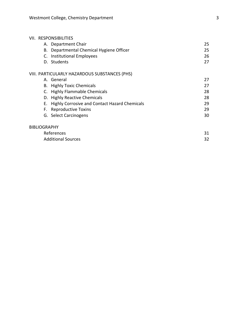### VII. RESPONSIBILITIES

| A. Department Chair                      | 25. |
|------------------------------------------|-----|
| B. Departmental Chemical Hygiene Officer | 25. |
| C. Institutional Employees               | 26  |
| D. Students                              |     |
|                                          |     |

## VIII. PARTICULARLY HAZARDOUS SUBSTANCES (PHS)

| A. General                                       | 27 |
|--------------------------------------------------|----|
| <b>B.</b> Highly Toxic Chemicals                 | 27 |
| C. Highly Flammable Chemicals                    | 28 |
| D. Highly Reactive Chemicals                     | 28 |
| E. Highly Corrosive and Contact Hazard Chemicals | 29 |
| F. Reproductive Toxins                           | 29 |
| G. Select Carcinogens                            | 30 |
|                                                  |    |

| References                | 31 |
|---------------------------|----|
| <b>Additional Sources</b> | 32 |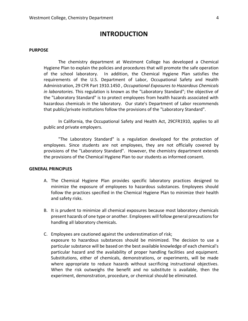# **INTRODUCTION**

#### **PURPOSE**

The chemistry department at Westmont College has developed a Chemical Hygiene Plan to explain the policies and procedures that will promote the safe operation of the school laboratory. In addition, the Chemical Hygiene Plan satisfies the requirements of the U.S. Department of Labor, Occupational Safety and Health Administration, 29 CFR Part 1910.1450 , *Occupational Exposures to Hazardous Chemicals in laboratories.* This regulation is known as the "Laboratory Standard"; the objective of the "Laboratory Standard" is to protect employees from health hazards associated with hazardous chemicals in the laboratory. Our state's Department of Labor recommends that public/private institutions follow the provisions of the "Laboratory Standard".

In California, the Occupational Safety and Health Act, 29CFR1910, applies to all public and private employers.

"The Laboratory Standard" is a regulation developed for the protection of employees. Since students are not employees, they are not officially covered by provisions of the "Laboratory Standard". However, the chemistry department extends the provisions of the Chemical Hygiene Plan to our students as informed consent.

#### **GENERAL PRINCIPLES**

- A. The Chemical Hygiene Plan provides specific laboratory practices designed to minimize the exposure of employees to hazardous substances. Employees should follow the practices specified in the Chemical Hygiene Plan to minimize their health and safety risks.
- B. It is prudent to minimize all chemical exposures because most laboratory chemicals present hazards of one type or another. Employees will follow general precautions for handling all laboratory chemicals.
- C. Employees are cautioned against the underestimation of risk; exposure to hazardous substances should be minimized. The decision to use a particular substance will be based on the best available knowledge of each chemical's particular hazard and the availability of proper handling facilities and equipment. Substitutions, either of chemicals, demonstrations, or experiments, will be made where appropriate to reduce hazards without sacrificing instructional objectives. When the risk outweighs the benefit and no substitute is available, then the experiment, demonstration, procedure, or chemical should be eliminated.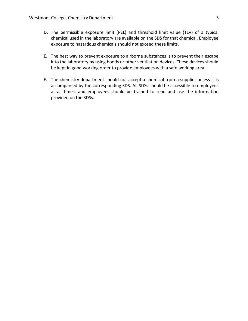- D. The permissible exposure limit (PEL) and threshold limit value (TLV) of a typical chemical used in the laboratory are available on the SDS for that chemical. Employee exposure to hazardous chemicals should not exceed these limits.
- E. The best way to prevent exposure to airborne substances is to prevent their escape into the laboratory by using hoods or other ventilation devices. These devices should be kept in good working order to provide employees with a safe working area.
- F. The chemistry department should not accept a chemical from a supplier unless it is accompanied by the corresponding SDS. All SDSs should be accessible to employees at all times, and employees should be trained to read and use the information provided on the SDSs.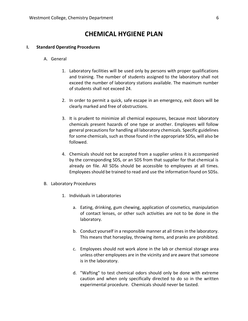# **CHEMICAL HYGIENE PLAN**

#### **I. Standard Operating Procedures**

#### A. General

- 1. Laboratory facilities will be used only by persons with proper qualifications and training. The number of students assigned to the laboratory shall not exceed the number of laboratory stations available. The maximum number of students shall not exceed 24.
- 2. In order to permit a quick, safe escape in an emergency, exit doors will be clearly marked and free of obstructions.
- 3. It is prudent to minimize all chemical exposures, because most laboratory chemicals present hazards of one type or another. Employees will follow general precautions for handling all laboratory chemicals. Specific guidelines for some chemicals, such as those found in the appropriate SDSs, will also be followed.
- 4. Chemicals should not be accepted from a supplier unless it is accompanied by the corresponding SDS, or an SDS from that supplier for that chemical is already on file. All SDSs should be accessible to employees at all times. Employees should be trained to read and use the information found on SDSs.
- B. Laboratory Procedures
	- 1. Individuals in Laboratories
		- a. Eating, drinking, gum chewing, application of cosmetics, manipulation of contact lenses, or other such activities are not to be done in the laboratory.
		- b. Conduct yourself in a responsible manner at all times in the laboratory. This means that horseplay, throwing items, and pranks are prohibited.
		- c. Employees should not work alone in the lab or chemical storage area unless other employees are in the vicinity and are aware that someone is in the laboratory.
		- d. "Wafting" to test chemical odors should only be done with extreme caution and when only specifically directed to do so in the written experimental procedure. Chemicals should never be tasted.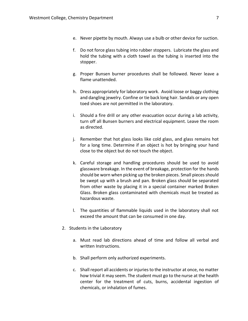- e. Never pipette by mouth. Always use a bulb or other device for suction.
- f. Do not force glass tubing into rubber stoppers. Lubricate the glass and hold the tubing with a cloth towel as the tubing is inserted into the stopper.
- g. Proper Bunsen burner procedures shall be followed. Never leave a flame unattended.
- h. Dress appropriately for laboratory work. Avoid loose or baggy clothing and dangling jewelry. Confine or tie back long hair. Sandals or any open toed shoes are not permitted in the laboratory.
- i. Should a fire drill or any other evacuation occur during a lab activity, turn off all Bunsen burners and electrical equipment. Leave the room as directed.
- j. Remember that hot glass looks like cold glass, and glass remains hot for a long time. Determine if an object is hot by bringing your hand close to the object but do not touch the object.
- k. Careful storage and handling procedures should be used to avoid glassware breakage. In the event of breakage, protection for the hands should be worn when picking up the broken pieces. Small pieces should be swept up with a brush and pan. Broken glass should be separated from other waste by placing it in a special container marked Broken Glass. Broken glass contaminated with chemicals must be treated as hazardous waste.
- l. The quantities of flammable liquids used in the laboratory shall not exceed the amount that can be consumed in one day.
- 2. Students in the Laboratory
	- a. Must read lab directions ahead of time and follow all verbal and written Instructions.
	- b. Shall perform only authorized experiments.
	- c. Shall report all accidents or injuries to the instructor at once, no matter how trivial it may seem. The student must go to the nurse at the health center for the treatment of cuts, burns, accidental ingestion of chemicals, or inhalation of fumes.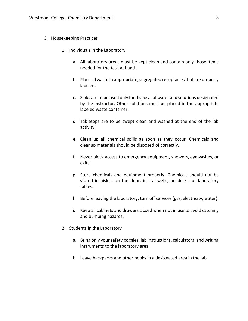- C. Housekeeping Practices
	- 1. Individuals in the Laboratory
		- a. All laboratory areas must be kept clean and contain only those items needed for the task at hand.
		- b. Place all waste in appropriate, segregated receptacles that are properly labeled.
		- c. Sinks are to be used only for disposal of water and solutions designated by the instructor. Other solutions must be placed in the appropriate labeled waste container.
		- d. Tabletops are to be swept clean and washed at the end of the lab activity.
		- e. Clean up all chemical spills as soon as they occur. Chemicals and cleanup materials should be disposed of correctly.
		- f. Never block access to emergency equipment, showers, eyewashes, or exits.
		- g. Store chemicals and equipment properly. Chemicals should not be stored in aisles, on the floor, in stairwells, on desks, or laboratory tables.
		- h. Before leaving the laboratory, turn off services (gas, electricity, water).
		- i. Keep all cabinets and drawers closed when not in use to avoid catching and bumping hazards.
	- 2. Students in the Laboratory
		- a. Bring only your safety goggles, lab instructions, calculators, and writing instruments to the laboratory area.
		- b. Leave backpacks and other books in a designated area in the lab.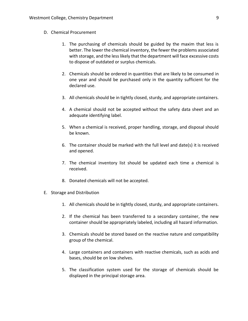- D. Chemical Procurement
	- 1. The purchasing of chemicals should be guided by the maxim that less is better. The lower the chemical inventory, the fewer the problems associated with storage, and the less likely that the department will face excessive costs to dispose of outdated or surplus chemicals.
	- 2. Chemicals should be ordered in quantities that are likely to be consumed in one year and should be purchased only in the quantity sufficient for the declared use.
	- 3. All chemicals should be in tightly closed, sturdy, and appropriate containers.
	- 4. A chemical should not be accepted without the safety data sheet and an adequate identifying label.
	- 5. When a chemical is received, proper handling, storage, and disposal should be known.
	- 6. The container should be marked with the full level and date(s) it is received and opened.
	- 7. The chemical inventory list should be updated each time a chemical is received.
	- 8. Donated chemicals will not be accepted.
- E. Storage and Distribution
	- 1. All chemicals should be in tightly closed, sturdy, and appropriate containers.
	- 2. If the chemical has been transferred to a secondary container, the new container should be appropriately labeled, including all hazard information.
	- 3. Chemicals should be stored based on the reactive nature and compatibility group of the chemical.
	- 4. Large containers and containers with reactive chemicals, such as acids and bases, should be on low shelves.
	- 5. The classification system used for the storage of chemicals should be displayed in the principal storage area.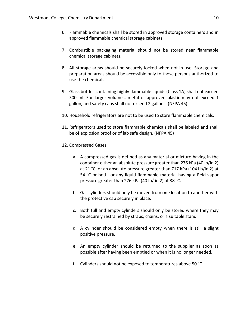- 6. Flammable chemicals shall be stored in approved storage containers and in approved flammable chemical storage cabinets.
- 7. Combustible packaging material should not be stored near flammable chemical storage cabinets.
- 8. All storage areas should be securely locked when not in use. Storage and preparation areas should be accessible only to those persons authorized to use the chemicals.
- 9. Glass bottles containing highly flammable liquids (Class 1A) shall not exceed 500 ml. For larger volumes, metal or approved plastic may not exceed 1 gallon, and safety cans shall not exceed 2 gallons. (NFPA 45)
- 10. Household refrigerators are not to be used to store flammable chemicals.
- 11. Refrigerators used to store flammable chemicals shall be labeled and shall be of explosion proof or of lab safe design. (NFPA 45)
- 12. Compressed Gases
	- a. A compressed gas is defined as any material or mixture having in the container either an absolute pressure greater than 276 kPa (40 lb/in 2) at 21 °C, or an absolute pressure greater than 717 kPa (104 l b/in 2) at 54 °C or both, or any liquid flammable material having a Reid vapor pressure greater than 276 kPa (40 lb/ in 2) at 38 °C.
	- b. Gas cylinders should only be moved from one location to another with the protective cap securely in place.
	- c. Both full and empty cylinders should only be stored where they may be securely restrained by straps, chains, or a suitable stand.
	- d. A cylinder should be considered empty when there is still a slight positive pressure.
	- e. An empty cylinder should be returned to the supplier as soon as possible after having been emptied or when it is no longer needed.
	- f. Cylinders should not be exposed to temperatures above 50 °C.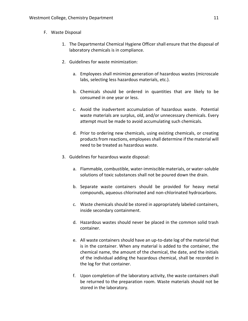- F. Waste Disposal
	- 1. The Departmental Chemical Hygiene Officer shall ensure that the disposal of laboratory chemicals is in compliance.
	- 2. Guidelines for waste minimization:
		- a. Employees shall minimize generation of hazardous wastes (microscale labs, selecting less hazardous materials, etc.).
		- b. Chemicals should be ordered in quantities that are likely to be consumed in one year or less.
		- c. Avoid the inadvertent accumulation of hazardous waste. Potential waste materials are surplus, old, and/or unnecessary chemicals. Every attempt must be made to avoid accumulating such chemicals.
		- d. Prior to ordering new chemicals, using existing chemicals, or creating products from reactions, employees shall determine if the material will need to be treated as hazardous waste.
	- 3. Guidelines for hazardous waste disposal:
		- a. Flammable, combustible, water-immiscible materials, or water-soluble solutions of toxic substances shall not be poured down the drain.
		- b. Separate waste containers should be provided for heavy metal compounds, aqueous chlorinated and non-chlorinated hydrocarbons.
		- c. Waste chemicals should be stored in appropriately labeled containers, inside secondary containment.
		- d. Hazardous wastes should never be placed in the common solid trash container.
		- e. All waste containers should have an up-to-date log of the material that is in the container. When any material is added to the container, the chemical name, the amount of the chemical, the date, and the initials of the individual adding the hazardous chemical, shall be recorded in the log for that container.
		- f. Upon completion of the laboratory activity, the waste containers shall be returned to the preparation room. Waste materials should not be stored in the laboratory.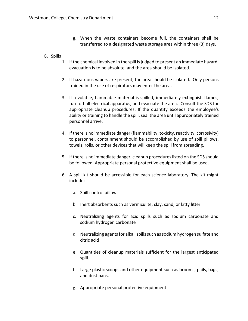- g. When the waste containers become full, the containers shall be transferred to a designated waste storage area within three (3) days.
- G. Spills
	- 1. If the chemical involved in the spill is judged to present an immediate hazard, evacuation is to be absolute, and the area should be isolated.
	- 2. If hazardous vapors are present, the area should be isolated. Only persons trained in the use of respirators may enter the area.
	- 3. If a volatile, flammable material is spilled, immediately extinguish flames, turn off all electrical apparatus, and evacuate the area. Consult the SDS for appropriate cleanup procedures. If the quantity exceeds the employee's ability or training to handle the spill, seal the area until appropriately trained personnel arrive.
	- 4. If there is no immediate danger (flammability, toxicity, reactivity, corrosivity) to personnel, containment should be accomplished by use of spill pillows, towels, rolls, or other devices that will keep the spill from spreading.
	- 5. If there is no immediate danger, cleanup procedures listed on the SDS should be followed. Appropriate personal protective equipment shall be used.
	- 6. A spill kit should be accessible for each science laboratory. The kit might include:
		- a. Spill control pillows
		- b. Inert absorbents such as vermiculite, clay, sand, or kitty litter
		- c. Neutralizing agents for acid spills such as sodium carbonate and sodium hydrogen carbonate
		- d. Neutralizing agents for alkali spills such as sodium hydrogen sulfate and citric acid
		- e. Quantities of cleanup materials sufficient for the largest anticipated spill.
		- f. Large plastic scoops and other equipment such as brooms, pails, bags, and dust pans.
		- g. Appropriate personal protective equipment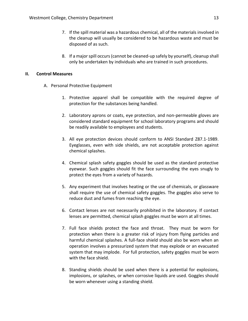- 7. If the spill material was a hazardous chemical, all of the materials involved in the cleanup will usually be considered to be hazardous waste and must be disposed of as such.
- 8. If a major spill occurs (cannot be cleaned-up safely by yourself), cleanup shall only be undertaken by individuals who are trained in such procedures.

#### **II. Control Measures**

- A. Personal Protective Equipment
	- 1. Protective apparel shall be compatible with the required degree of protection for the substances being handled.
	- 2. Laboratory aprons or coats, eye protection, and non-permeable gloves are considered standard equipment for school laboratory programs and should be readily available to employees and students.
	- 3. All eye protection devices should conform to ANSI Standard Z87.1-1989. Eyeglasses, even with side shields, are not acceptable protection against chemical splashes.
	- 4. Chemical splash safety goggles should be used as the standard protective eyewear. Such goggles should fit the face surrounding the eyes snugly to protect the eyes from a variety of hazards.
	- 5. Any experiment that involves heating or the use of chemicals, or glassware shall require the use of chemical safety goggles. The goggles also serve to reduce dust and fumes from reaching the eye.
	- 6. Contact lenses are not necessarily prohibited in the laboratory. If contact lenses are permitted, chemical splash goggles must be worn at all times.
	- 7. Full face shields protect the face and throat. They must be worn for protection when there is a greater risk of injury from flying particles and harmful chemical splashes. A full-face shield should also be worn when an operation involves a pressurized system that may explode or an evacuated system that may implode. For full protection, safety goggles must be worn with the face shield.
	- 8. Standing shields should be used when there is a potential for explosions, implosions, or splashes, or when corrosive liquids are used. Goggles should be worn whenever using a standing shield.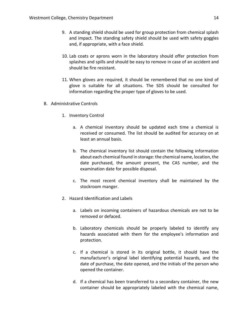- 9. A standing shield should be used for group protection from chemical splash and impact. The standing safety shield should be used with safety goggles and, if appropriate, with a face shield.
- 10. Lab coats or aprons worn in the laboratory should offer protection from splashes and spills and should be easy to remove in case of an accident and should be fire resistant.
- 11. When gloves are required, it should be remembered that no one kind of glove is suitable for all situations. The SDS should be consulted for information regarding the proper type of gloves to be used.
- B. Administrative Controls
	- 1. Inventory Control
		- a. A chemical inventory should be updated each time a chemical is received or consumed. The list should be audited for accuracy on at least an annual basis.
		- b. The chemical inventory list should contain the following information about each chemical found in storage: the chemical name, location, the date purchased, the amount present, the CAS number, and the examination date for possible disposal.
		- c. The most recent chemical inventory shall be maintained by the stockroom manger.
	- 2. Hazard Identification and Labels
		- a. Labels on incoming containers of hazardous chemicals are not to be removed or defaced.
		- b. Laboratory chemicals should be properly labeled to identify any hazards associated with them for the employee's information and protection.
		- c. If a chemical is stored in its original bottle, it should have the manufacturer's original label identifying potential hazards, and the date of purchase, the date opened, and the initials of the person who opened the container.
		- d. If a chemical has been transferred to a secondary container, the new container should be appropriately labeled with the chemical name,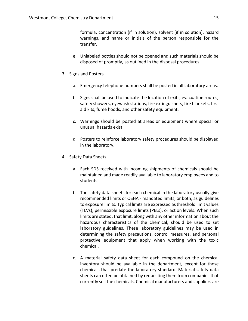formula, concentration (if in solution), solvent (if in solution), hazard warnings, and name or initials of the person responsible for the transfer.

- e. Unlabeled bottles should not be opened and such materials should be disposed of promptly, as outlined in the disposal procedures.
- 3. Signs and Posters
	- a. Emergency telephone numbers shall be posted in all laboratory areas.
	- b. Signs shall be used to indicate the location of exits, evacuation routes, safety showers, eyewash stations, fire extinguishers, fire blankets, first aid kits, fume hoods, and other safety equipment.
	- c. Warnings should be posted at areas or equipment where special or unusual hazards exist.
	- d. Posters to reinforce laboratory safety procedures should be displayed in the laboratory.
- 4. Safety Data Sheets
	- a. Each SDS received with incoming shipments of chemicals should be maintained and made readily available to laboratory employees and to students.
	- b. The safety data sheets for each chemical in the laboratory usually give recommended limits or OSHA - mandated limits, or both, as guidelines to exposure limits. Typical limits are expressed as threshold limit values (TLVs), permissible exposure limits (PELs), or action levels. When such limits are stated, that limit, along with any other information about the hazardous characteristics of the chemical, should be used to set laboratory guidelines. These laboratory guidelines may be used in determining the safety precautions, control measures, and personal protective equipment that apply when working with the toxic chemical.
	- c. A material safety data sheet for each compound on the chemical inventory should be available in the department, except for those chemicals that predate the laboratory standard. Material safety data sheets can often be obtained by requesting them from companies that currently sell the chemicals. Chemical manufacturers and suppliers are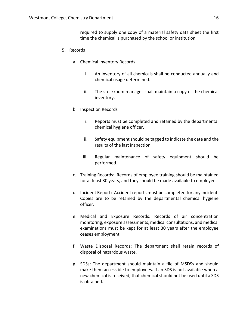required to supply one copy of a material safety data sheet the first time the chemical is purchased by the school or institution.

- 5. Records
	- a. Chemical Inventory Records
		- i. An inventory of all chemicals shall be conducted annually and chemical usage determined.
		- ii. The stockroom manager shall maintain a copy of the chemical inventory.
	- b. Inspection Records
		- i. Reports must be completed and retained by the departmental chemical hygiene officer.
		- ii. Safety equipment should be tagged to indicate the date and the results of the last inspection.
		- iii. Regular maintenance of safety equipment should be performed.
	- c. Training Records: Records of employee training should be maintained for at least 30 years, and they should be made available to employees.
	- d. Incident Report: Accident reports must be completed for any incident. Copies are to be retained by the departmental chemical hygiene officer.
	- e. Medical and Exposure Records: Records of air concentration monitoring, exposure assessments, medical consultations, and medical examinations must be kept for at least 30 years after the employee ceases employment.
	- f. Waste Disposal Records: The department shall retain records of disposal of hazardous waste.
	- g. SDSs: The department should maintain a file of MSDSs and should make them accessible to employees. If an SDS is not available when a new chemical is received, that chemical should not be used until a SDS is obtained.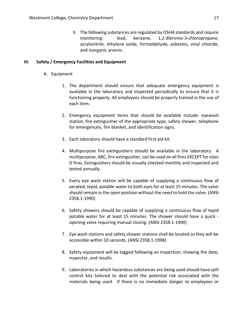h. The following substances are regulated by OSHA standards and require monitoring: lead, benzene, 1,2-dibromo-3-chloropropane, acrylonitrile, ethylene oxide, formaldehyde, asbestos, vinyl chloride, and inorganic arsenic.

#### **III. Safety / Emergency Facilities and Equipment**

- A. Equipment
	- 1. The department should ensure that adequate emergency equipment is available in the laboratory and inspected periodically to ensure that it is functioning properly. All employees should be properly trained in the use of each item.
	- 2. Emergency equipment items that should be available include: eyewash station, fire extinguisher of the appropriate type, safety shower, telephone for emergencies, fire blanket, and identification signs.
	- 3. Each laboratory should have a standard first aid kit.
	- 4. Multipurpose fire extinguishers should be available in the laboratory. A multipurpose, ABC, fire extinguisher, can be used on all fires EXCEPT for class D fires. Extinguishers should be visually checked monthly and inspected and tested annually.
	- 5. Every eye wash station will be capable of supplying a continuous flow of aerated, tepid, potable water to both eyes for at least 15 minutes. The valve should remain in the open position without the need to hold the valve. (ANSI Z358.1-1990)
	- 6. Safety showers should be capable of supplying a continuous flow of tepid potable water for at least 15 minutes. The shower should have a quick opening valve requiring manual closing. (ANSI Z358.1-1990)
	- 7. Eye wash stations and safety shower stations shall be located so they will be accessible within 10 seconds. (ANSI Z358.1-1998)
	- 8. Safety equipment will be tagged following an inspection, showing the date, inspector, and results.
	- 9. Laboratories in which hazardous substances are being used should have spill control kits tailored to deal with the potential risk associated with the materials being used. If there is no immediate danger to employees or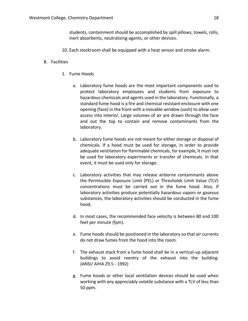students, containment should be accomplished by spill pillows, towels, rolls, inert absorbents, neutralizing agents, or other devices.

10. Each stockroom shall be equipped with a heat sensor and smoke alarm.

#### B. Facilities

- 1. Fume Hoods
	- a. Laboratory fume hoods are the most important components used to protect laboratory employees and students from exposure to hazardous chemicals and agents used in the laboratory. Functionally, a standard fume hood is a fire and chemical resistant enclosure with one opening (face) in the front with a movable window (sash) to allow user access into interior. Large volumes of air are drawn through the face and out the top to contain and remove contaminants from the laboratory.
	- b. Laboratory fume hoods are not meant for either storage or disposal of chemicals. If a hood must be used for storage, in order to provide adequate ventilation for flammable chemicals, for example, it must not be used for laboratory experiments or transfer of chemicals. In that event, it must be used only for storage.
	- c. Laboratory activities that may release airborne contaminants above the Permissible Exposure Limit (PEL) or Thresholds Limit Value (TLV) concentrations must be carried out in the fume hood. Also, if laboratory activities produce potentially hazardous vapors or gaseous substances, the laboratory activities should be conducted in the fume hood.
	- d. In most cases, the recommended face velocity is between 80 and 100 feet per minute {fpm).
	- e. Fume hoods should be positioned in the laboratory so that air currents do not draw fumes from the hood into the room.
	- f. The exhaust stack from a fume hood shall be in a vertical-up adjacent buildings to avoid reentry of the exhaust into the building. {ANSI/ AIHA Z9.5 - 1992)
	- g. Fume hoods or other local ventilation devices should be used when working with any appreciably volatile substance with a TLV of less than 50 ppm.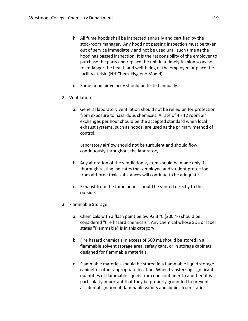- h. All fume hoods shall be inspected annually and certified by the stockroom manager. Any hood not passing inspection must be taken out of service immediately and not be used until such time as the hood has passed inspection. It is the responsibility of the employer to purchase the parts and replace the unit in a timely fashion so as not to endanger the health and well-being of the employee or place the facility at risk. (NH Chem. Hygiene Model)
- i. Fume hood air velocity should be tested annually.
- 2. Ventilation
	- a. General laboratory ventilation should not be relied on for protection from exposure to hazardous chemicals. A rate of 4 - 12 room air exchanges per hour should be the accepted standard when local exhaust systems, such as hoods, are used as the primary method of control.

Laboratory airflow should not be turbulent and should flow continuously throughout the laboratory.

- b. Any alteration of the ventilation system should be made only if thorough testing indicates that employee and student protection from airborne toxic substances will continue to be adequate.
- c. Exhaust from the fume hoods should be vented directly to the outside.
- 3. Flammable Storage
	- a. Chemicals with a flash point below 93.3 °C (200 °F) should be considered "fire hazard chemicals". Any chemical whose SDS or label states "Flammable" is in this category.
	- b. Fire hazard chemicals in excess of 500 mL should be stored in a flammable solvent storage area, safety cans, or in storage cabinets designed for flammable materials.
	- c. Flammable materials should be stored in a flammable liquid storage cabinet or other appropriate location. When transferring significant quantities of flammable liquids from one container to another, it is particularly important that they be properly grounded to prevent accidental ignition of flammable vapors and liquids from static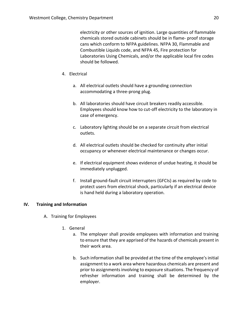electricity or other sources of ignition. Large quantities of flammable chemicals stored outside cabinets should be in flame- proof storage cans which conform to NFPA guidelines. NFPA 30, Flammable and Combustible Liquids code, and NFPA 45, Fire protection for Laboratories Using Chemicals, and/or the applicable local fire codes should be followed.

- 4. Electrical
	- a. All electrical outlets should have a grounding connection accommodating a three-prong plug.
	- b. All laboratories should have circuit breakers readily accessible. Employees should know how to cut-off electricity to the laboratory in case of emergency.
	- c. Laboratory lighting should be on a separate circuit from electrical outlets.
	- d. All electrical outlets should be checked for continuity after initial occupancy or whenever electrical maintenance or changes occur.
	- e. If electrical equipment shows evidence of undue heating, it should be immediately unplugged.
	- f. Install ground-fault circuit interrupters (GFCIs) as required by code to protect users from electrical shock, particularly if an electrical device is hand held during a laboratory operation.

### **IV. Training and Information**

- A. Training for Employees
	- 1. General
		- a. The employer shall provide employees with information and training to ensure that they are apprised of the hazards of chemicals present in their work area.
		- b. Such information shall be provided at the time of the employee's initial assignment to a work area where hazardous chemicals are present and prior to assignments involving to exposure situations. The frequency of refresher information and training shall be determined by the employer.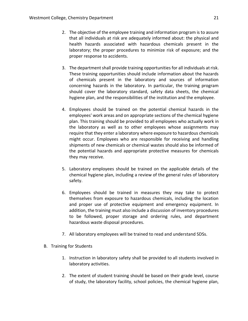- 2. The objective of the employee training and information program is to assure that all individuals at risk are adequately informed about: the physical and health hazards associated with hazardous chemicals present in the laboratory; the proper procedures to minimize risk of exposure; and the proper response to accidents.
- 3. The department shall provide training opportunities for all individuals at risk. These training opportunities should include information about the hazards of chemicals present in the laboratory and sources of information concerning hazards in the laboratory. In particular, the training program should cover the laboratory standard, safety data sheets, the chemical hygiene plan, and the responsibilities of the institution and the employee.
- 4. Employees should be trained on the potential chemical hazards in the employees' work areas and on appropriate sections of the chemical hygiene plan. This training should be provided to all employees who actually work in the laboratory as well as to other employees whose assignments may require that they enter a laboratory where exposure to hazardous chemicals might occur. Employees who are responsible for receiving and handling shipments of new chemicals or chemical wastes should also be informed of the potential hazards and appropriate protective measures for chemicals they may receive.
- 5. Laboratory employees should be trained on the applicable details of the chemical hygiene plan, including a review of the general rules of laboratory safety.
- 6. Employees should be trained in measures they may take to protect themselves from exposure to hazardous chemicals, including the location and proper use of protective equipment and emergency equipment. In addition, the training must also include a discussion of inventory procedures to be followed, proper storage and ordering rules, and department hazardous waste disposal procedures.
- 7. All laboratory employees will be trained to read and understand SDSs.
- B. Training for Students
	- 1. Instruction in laboratory safety shall be provided to all students involved in laboratory activities.
	- 2. The extent of student training should be based on their grade level, course of study, the laboratory facility, school policies, the chemical hygiene plan,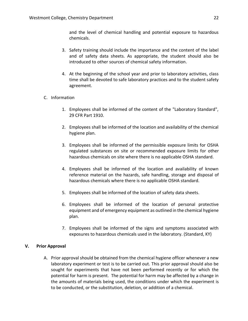and the level of chemical handling and potential exposure to hazardous chemicals.

- 3. Safety training should include the importance and the content of the label and of safety data sheets. As appropriate, the student should also be introduced to other sources of chemical safety information.
- 4. At the beginning of the school year and prior to laboratory activities, class time shall be devoted to safe laboratory practices and to the student safety agreement.
- C. Information
	- 1. Employees shall be informed of the content of the "Laboratory Standard", 29 CFR Part 1910.
	- 2. Employees shall be informed of the location and availability of the chemical hygiene plan.
	- 3. Employees shall be informed of the permissible exposure limits for OSHA regulated substances on site or recommended exposure limits for other hazardous chemicals on site where there is no applicable OSHA standard.
	- 4. Employees shall be informed of the location and availability of known reference material on the hazards, safe handling, storage and disposal of hazardous chemicals where there is no applicable OSHA standard.
	- 5. Employees shall be informed of the location of safety data sheets.
	- 6. Employees shall be informed of the location of personal protective equipment and of emergency equipment as outlined in the chemical hygiene plan.
	- 7. Employees shall be informed of the signs and symptoms associated with exposures to hazardous chemicals used in the laboratory. (Standard, KY)

### **V. Prior Approval**

A. Prior approval should be obtained from the chemical hygiene officer whenever a new laboratory experiment or test is to be carried out. This prior approval should also be sought for experiments that have not been performed recently or for which the potential for harm is present. The potential for harm may be affected by a change in the amounts of materials being used, the conditions under which the experiment is to be conducted, or the substitution, deletion, or addition of a chemical.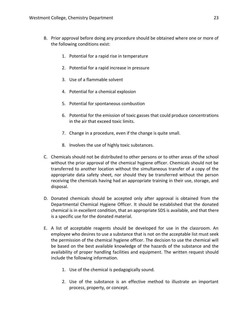- B. Prior approval before doing any procedure should be obtained where one or more of the following conditions exist:
	- 1. Potential for a rapid rise in temperature
	- 2. Potential for a rapid increase in pressure
	- 3. Use of a flammable solvent
	- 4. Potential for a chemical explosion
	- 5. Potential for spontaneous combustion
	- 6. Potential for the emission of toxic gasses that could produce concentrations in the air that exceed toxic limits.
	- 7. Change in a procedure, even if the change is quite small.
	- 8. Involves the use of highly toxic substances.
- C. Chemicals should not be distributed to other persons or to other areas of the school without the prior approval of the chemical hygiene officer. Chemicals should not be transferred to another location without the simultaneous transfer of a copy of the appropriate data safety sheet, nor should they be transferred without the person receiving the chemicals having had an appropriate training in their use, storage, and disposal.
- D. Donated chemicals should be accepted only after approval is obtained from the Departmental Chemical Hygiene Officer. It should be established that the donated chemical is in excellent condition, that an appropriate SDS is available, and that there is a specific use for the donated material.
- E. A list of acceptable reagents should be developed for use in the classroom. An employee who desires to use a substance that is not on the acceptable list must seek the permission of the chemical hygiene officer. The decision to use the chemical will be based on the best available knowledge of the hazards of the substance and the availability of proper handling facilities and equipment. The written request should include the following information.
	- 1. Use of the chemical is pedagogically sound.
	- 2. Use of the substance is an effective method to illustrate an important process, property, or concept.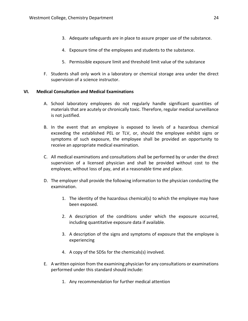- 3. Adequate safeguards are in place to assure proper use of the substance.
- 4. Exposure time of the employees and students to the substance.
- 5. Permissible exposure limit and threshold limit value of the substance
- F. Students shall only work in a laboratory or chemical storage area under the direct supervision of a science instructor.

#### **VI. Medical Consultation and Medical Examinations**

- A. School laboratory employees do not regularly handle significant quantities of materials that are acutely or chronically toxic. Therefore, regular medical surveillance is not justified.
- B. In the event that an employee is exposed to levels of a hazardous chemical exceeding the established PEL or TLV, or, should the employee exhibit signs or symptoms of such exposure, the employee shall be provided an opportunity to receive an appropriate medical examination.
- C. All medical examinations and consultations shall be performed by or under the direct supervision of a licensed physician and shall be provided without cost to the employee, without loss of pay, and at a reasonable time and place.
- D. The employer shall provide the following information to the physician conducting the examination.
	- 1. The identity of the hazardous chemical(s) to which the employee may have been exposed.
	- 2. A description of the conditions under which the exposure occurred, including quantitative exposure data if available.
	- 3. A description of the signs and symptoms of exposure that the employee is experiencing
	- 4. A copy of the SDSs for the chemicals(s) involved.
- E. A written opinion from the examining physician for any consultations or examinations performed under this standard should include:
	- 1. Any recommendation for further medical attention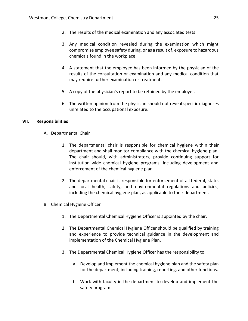- 2. The results of the medical examination and any associated tests
- 3. Any medical condition revealed during the examination which might compromise employee safety during, or as a result of, exposure to hazardous chemicals found in the workplace
- 4. A statement that the employee has been informed by the physician of the results of the consultation or examination and any medical condition that may require further examination or treatment.
- 5. A copy of the physician's report to be retained by the employer.
- 6. The written opinion from the physician should not reveal specific diagnoses unrelated to the occupational exposure.

### **VII. Responsibilities**

- A. Departmental Chair
	- 1. The departmental chair is responsible for chemical hygiene within their department and shall monitor compliance with the chemical hygiene plan. The chair should, with administrators, provide continuing support for institution wide chemical hygiene programs, including development and enforcement of the chemical hygiene plan.
	- 2. The departmental chair is responsible for enforcement of all federal, state, and local health, safety, and environmental regulations and policies, including the chemical hygiene plan, as applicable to their department.
- B. Chemical Hygiene Officer
	- 1. The Departmental Chemical Hygiene Officer is appointed by the chair.
	- 2. The Departmental Chemical Hygiene Officer should be qualified by training and experience to provide technical guidance in the development and implementation of the Chemical Hygiene Plan.
	- 3. The Departmental Chemical Hygiene Officer has the responsibility to:
		- a. Develop and implement the chemical hygiene plan and the safety plan for the department, including training, reporting, and other functions.
		- b. Work with faculty in the department to develop and implement the safety program.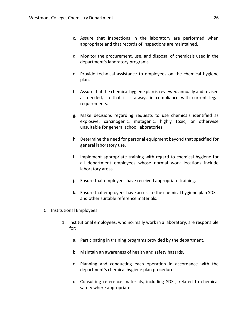- c. Assure that inspections in the laboratory are performed when appropriate and that records of inspections are maintained.
- d. Monitor the procurement, use, and disposal of chemicals used in the department's laboratory programs.
- e. Provide technical assistance to employees on the chemical hygiene plan.
- f. Assure that the chemical hygiene plan is reviewed annually and revised as needed, so that it is always in compliance with current legal requirements.
- g. Make decisions regarding requests to use chemicals identified as explosive, carcinogenic, mutagenic, highly toxic, or otherwise unsuitable for general school laboratories.
- h. Determine the need for personal equipment beyond that specified for general laboratory use.
- i. Implement appropriate training with regard to chemical hygiene for all department employees whose normal work locations include laboratory areas.
- j. Ensure that employees have received appropriate training.
- k. Ensure that employees have access to the chemical hygiene plan SDSs, and other suitable reference materials.
- C. Institutional Employees
	- 1. Institutional employees, who normally work in a laboratory, are responsible for:
		- a. Participating in training programs provided by the department.
		- b. Maintain an awareness of health and safety hazards.
		- c. Planning and conducting each operation in accordance with the department's chemical hygiene plan procedures.
		- d. Consulting reference materials, including SDSs, related to chemical safety where appropriate.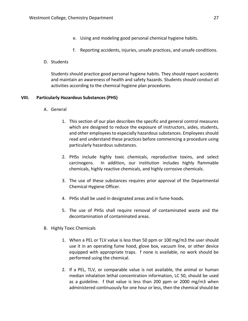- e. Using and modeling good personal chemical hygiene habits.
- f. Reporting accidents, injuries, unsafe practices, and unsafe conditions.
- D. Students

Students should practice good personal hygiene habits. They should report accidents and maintain an awareness of health and safety hazards. Students should conduct all activities according to the chemical hygiene plan procedures.

#### **VIII. Particularly Hazardous Substances (PHS)**

- A. General
	- 1. This section of our plan describes the specific and general control measures which are designed to reduce the exposure of instructors, aides, students, and other employees to especially hazardous substances. Employees should read and understand these practices before commencing a procedure using particularly hazardous substances.
	- 2. PHSs include highly toxic chemicals, reproductive toxins, and select carcinogens. In addition, our institution includes highly flammable chemicals, highly reactive chemicals, and highly corrosive chemicals.
	- 3. The use of these substances requires prior approval of the Departmental Chemical Hygiene Officer.
	- 4. PHSs shall be used in designated areas and in fume hoods.
	- 5. The use of PHSs shall require removal of contaminated waste and the decontamination of contaminated areas.
- B. Highly Toxic Chemicals
	- , 1. When a PEL or TLV value is less than 50 ppm or 100 mg/m3 the user should use it in an operating fume hood, glove box, vacuum line, or other device equipped with appropriate traps. f none is available, no work should be performed using the chemical.
	- 2. If a PEL, TLV, or comparable value is not available, the animal or human median inhalation lethal concentration information, LC 50, should be used as a guideline. f that value is less than 200 ppm or 2000 mg/m3 when administered continuously for one hour or less, then the chemical should be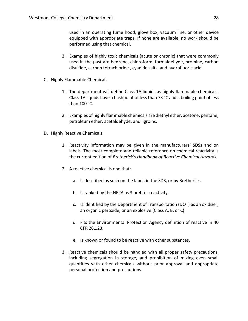used in an operating fume hood, glove box, vacuum line, or other device equipped with appropriate traps. If none are available, no work should be performed using that chemical.

- 3. Examples of highly toxic chemicals (acute or chronic) that were commonly used in the past are benzene, chloroform, formaldehyde, bromine, carbon disulfide, carbon tetrachloride , cyanide salts, and hydrofluoric acid.
- C. Highly Flammable Chemicals
	- 1. The department will define Class 1A liquids as highly flammable chemicals. Class 1A liquids have a flashpoint of less than 73 °C and a boiling point of less than 100 °C.
	- 2. Examples of highly flammable chemicals are diethyl ether, acetone, pentane, petroleum ether, acetaldehyde, and ligroins.
- D. Highly Reactive Chemicals
	- 1. Reactivity information may be given in the manufacturers' SDSs and on labels. The most complete and reliable reference on chemical reactivity is the current edition of *Bretherick's Handbook of Reactive Chemical Hazards.*
	- 2. A reactive chemical is one that:
		- a. Is described as such on the label, in the SDS, or by Bretherick.
		- b. Is ranked by the NFPA as 3 or 4 for reactivity.
		- c. Is identified by the Department of Transportation (DOT) as an oxidizer, an organic peroxide, or an explosive (Class A, B, or C).
		- d. Fits the Environmental Protection Agency definition of reactive in 40 CFR 261.23.
		- e. Is known or found to be reactive with other substances.
	- 3. Reactive chemicals should be handled with all proper safety precautions, including segregation in storage, and prohibition of mixing even small quantities with other chemicals without prior approval and appropriate personal protection and precautions.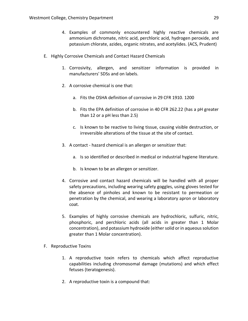- 4. Examples of commonly encountered highly reactive chemicals are ammonium dichromate, nitric acid, perchloric acid, hydrogen peroxide, and potassium chlorate, azides, organic nitrates, and acetylides. (ACS, Prudent)
- E. Highly Corrosive Chemicals and Contact Hazard Chemicals
	- 1. Corrosivity, allergen, and sensitizer information is provided in manufacturers' SDSs and on labels.
	- 2. A corrosive chemical is one that:
		- a. Fits the OSHA definition of corrosive in 29 CFR 1910. 1200
		- b. Fits the EPA definition of corrosive in 40 CFR 262.22 (has a pH greater than 12 or a pH less than 2.5)
		- c. Is known to be reactive to living tissue, causing visible destruction, or irreversible alterations of the tissue at the site of contact.
	- 3. A contact hazard chemical is an allergen or sensitizer that:
		- a. Is so identified or described in medical or industrial hygiene literature.
		- b. Is known to be an allergen or sensitizer.
	- 4. Corrosive and contact hazard chemicals will be handled with all proper safety precautions, including wearing safety goggles, using gloves tested for the absence of pinholes and known to be resistant to permeation or penetration by the chemical, and wearing a laboratory apron or laboratory coat.
	- 5. Examples of highly corrosive chemicals are hydrochloric, sulfuric, nitric, phosphoric, and perchloric acids (all acids in greater than 1 Molar concentration), and potassium hydroxide (either solid or in aqueous solution greater than 1 Molar concentration).
- F. Reproductive Toxins
	- 1. A reproductive toxin refers to chemicals which affect reproductive capabilities including chromosomal damage (mutations) and which effect fetuses (teratogenesis).
	- 2. A reproductive toxin is a compound that: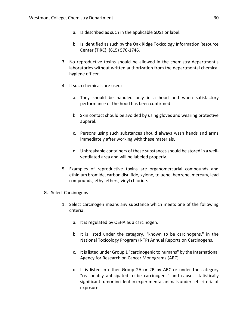- a. Is described as such in the applicable SDSs or label.
- b. Is identified as such by the Oak Ridge Toxicology Information Resource Center (TIRC), (615) 576-1746.
- 3. No reproductive toxins should be allowed in the chemistry department's laboratories without written authorization from the departmental chemical hygiene officer.
- 4. If such chemicals are used:
	- a. They should be handled only in a hood and when satisfactory performance of the hood has been confirmed.
	- b. Skin contact should be avoided by using gloves and wearing protective apparel.
	- c. Persons using such substances should always wash hands and arms immediately after working with these materials.
	- d. Unbreakable containers of these substances should be stored in a wellventilated area and will be labeled properly.
- 5. Examples of reproductive toxins are organomercurial compounds and ethidium bromide, carbon disulfide, xylene, toluene, benzene, mercury, lead compounds, ethyl ethers, vinyl chloride.
- G. Select Carcinogens
	- 1. Select carcinogen means any substance which meets one of the following criteria:
		- a. It is regulated by OSHA as a carcinogen.
		- b. It is listed under the category, "known to be carcinogens," in the National Toxicology Program (NTP) Annual Reports on Carcinogens.
		- c. It is listed under Group 1 "carcinogenic to humans" by the International Agency for Research on Cancer Monograms (ARC).
		- d. It is listed in either Group 2A or 2B by ARC or under the category "reasonably anticipated to be carcinogens" and causes statistically significant tumor incident in experimental animals under set criteria of exposure.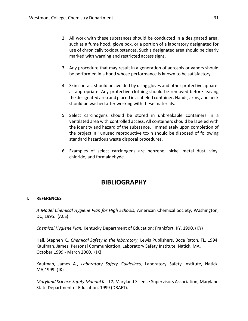- 2. All work with these substances should be conducted in a designated area, such as a fume hood, glove box, or a portion of a laboratory designated for use of chronically toxic substances. Such a designated area should be clearly marked with warning and restricted access signs.
- 3. Any procedure that may result in a generation of aerosols or vapors should be performed in a hood whose performance is known to be satisfactory.
- 4. Skin contact should be avoided by using gloves and other protective apparel as appropriate. Any protective clothing should be removed before leaving the designated area and placed in a labeled container. Hands, arms, and neck should be washed after working with these materials.
- 5. Select carcinogens should be stored in unbreakable containers in a ventilated area with controlled access. All containers should be labeled with the identity and hazard of the substance. Immediately upon completion of the project, all unused reproductive toxin should be disposed of following standard hazardous waste disposal procedures.
- 6. Examples of select carcinogens are benzene, nickel metal dust, vinyl chloride, and formaldehyde.

# **BIBLIOGRAPHY**

### **I. REFERENCES**

*A Model Chemical Hygiene Plan for High Schools,* American Chemical Society, Washington, DC, 1995. (ACS)

*Chemical Hygiene Plan,* Kentucky Department of Education: Frankfort, KY, 1990. (KY)

Hall, Stephen K., *Chemical Safety in the laboratory,* Lewis Publishers, Boca Raton, FL, 1994. Kaufman, James, Personal Communication, Laboratory Safety Institute, Natick, MA, October 1999 - March 2000. (JK)

Kaufman, James A., *Laboratory Safety Guidelines,* Laboratory Safety Institute, Natick, MA,1999. (JK)

*Maryland Science Safety Manual K - 12,* Maryland Science Supervisors Association, Maryland State Department of Education, 1999 (DRAFT).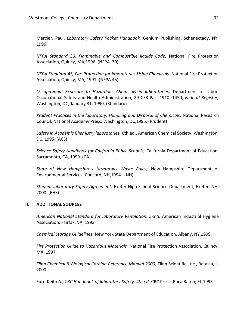Mercier, Paul, *Laboratory Safety Pocket Handbook,* Genium Publishing, Schenectady, NY, 1996.

*NFPA Standard 30, Flammable and Combustible liquids Code,* National Fire Protection Association, Quincy, MA,1996. (NFPA 30)

*NFPA Standard 45, Fire Protection for laboratories Using Chemicals,* National Fire Protection Association, Quincy, MA, 1991. (NFPA 45)

*Occupational Exposure to Hazardous Chemicals in laboratories,* Department of Labor, Occupational Safety and Health Administration, 29 CFR Part 1910. 1450, *Federal Register,*  Washington, DC, January 31, 1990. (Standard)

*Prudent Practices in the laboratory, Handling and Disposal of Chemicals,* National Research Council, National Academy Press: Washington, DC,1995. (Prudent)

*Safety in Academic Chemistry laboratories,* 6th ed., American Chemical Society, Washington, DC, 1995. (ACS)

*Science Safety Handbook for California Public Schools,* California Department of Education, Sacramento, CA, 1999. (CA)

*State of New Hampshire's Hazardous Waste Rules,* New Hampshire Department of Environmental Services, Concord, NH,1994. (NH)

*Student laboratory Safety Agreement,* Exeter High School Science Department, Exeter, NH, 2000. (EHS)

### **II. ADDITIONAL SOURCES**

*American National Standard for laboratory Ventilation, Z-9.5,* American Industrial Hygiene Association, Fairfax, VA, 1993.

*Chemical Storage Guidelines,* New York State Department of Education, Albany, NY,1999.

*Fire Protection Guide to Hazardous Materials,* National Fire Protection Association, Quincy, MA, 1997.

*Flinn Chemical & Biological Catalog Reference Manual 2000,* Flinn Scientific nc., Batavia, L, 2000.

Furr, Keith A., *CRC Handbook of laboratory Safety, 4th ed,* CRC Press: Boca Raton, FL,1995.